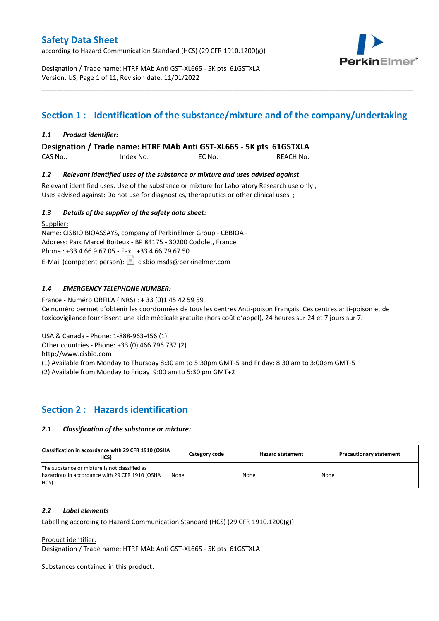according to Hazard Communication Standard (HCS) (29 CFR 1910.1200(g))



Designation / Trade name: HTRF MAb Anti GST-XL665 - 5K pts 61GSTXLA Version: US, Page 1 of 11, Revision date: 11/01/2022

# **Section 1 : Identification of the substance/mixture and of the company/undertaking**

\_\_\_\_\_\_\_\_\_\_\_\_\_\_\_\_\_\_\_\_\_\_\_\_\_\_\_\_\_\_\_\_\_\_\_\_\_\_\_\_\_\_\_\_\_\_\_\_\_\_\_\_\_\_\_\_\_\_\_\_\_\_\_\_\_\_\_\_\_\_\_\_\_\_\_\_\_\_\_\_\_\_\_\_\_\_\_\_\_\_\_\_\_\_\_\_\_\_\_\_\_

### *1.1 Product identifier:*

**Designation / Trade name: HTRF MAb Anti GST-XL665 - 5K pts 61GSTXLA** 

CAS No.: Index No: EC No: REACH No:

#### *1.2 Relevant identified uses of the substance or mixture and uses advised against*

Relevant identified uses: Use of the substance or mixture for Laboratory Research use only ; Uses advised against: Do not use for diagnostics, therapeutics or other clinical uses. ;

#### *1.3 Details of the supplier of the safety data sheet:*

Supplier: Name: CISBIO BIOASSAYS, company of PerkinElmer Group - CBBIOA - Address: Parc Marcel Boiteux - BP 84175 - 30200 Codolet, France Phone : +33 4 66 9 67 05 - Fax : +33 4 66 79 67 50 E-Mail (competent person):  $\boxed{\equiv}$  cisbio.msds@perkinelmer.com

### *1.4 EMERGENCY TELEPHONE NUMBER:*

France - Numéro ORFILA (INRS) : + 33 (0)1 45 42 59 59 Ce numéro permet d'obtenir les coordonnées de tous les centres Anti-poison Français. Ces centres anti-poison et de toxicovigilance fournissent une aide médicale gratuite (hors coût d'appel), 24 heures sur 24 et 7 jours sur 7.

USA & Canada - Phone: 1-888-963-456 (1)

Other countries - Phone: +33 (0) 466 796 737 (2)

http://www.cisbio.com

(1) Available from Monday to Thursday 8:30 am to 5:30pm GMT-5 and Friday: 8:30 am to 3:00pm GMT-5

(2) Available from Monday to Friday 9:00 am to 5:30 pm GMT+2

### **Section 2 : Hazards identification**

#### *2.1 Classification of the substance or mixture:*

| Classification in accordance with 29 CFR 1910 (OSHA)<br>HCS)                                            | Category code | <b>Hazard statement</b> | <b>Precautionary statement</b> |
|---------------------------------------------------------------------------------------------------------|---------------|-------------------------|--------------------------------|
| The substance or mixture is not classified as<br>hazardous in accordance with 29 CFR 1910 (OSHA<br>HCS) | None          | None                    | None                           |

#### *2.2 Label elements*

Labelling according to Hazard Communication Standard (HCS) (29 CFR 1910.1200(g))

Product identifier:

Designation / Trade name: HTRF MAb Anti GST-XL665 - 5K pts 61GSTXLA

Substances contained in this product: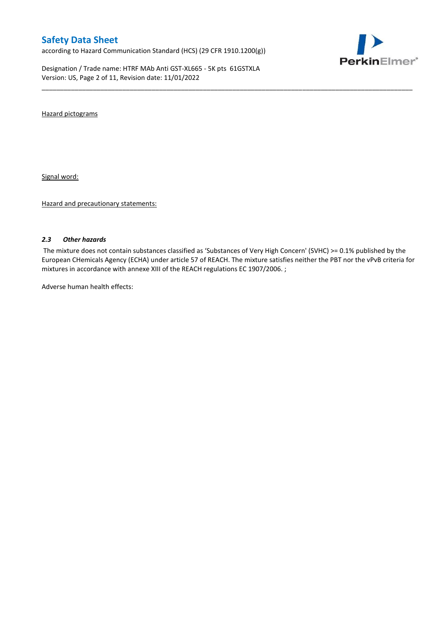according to Hazard Communication Standard (HCS) (29 CFR 1910.1200(g))

Designation / Trade name: HTRF MAb Anti GST-XL665 - 5K pts 61GSTXLA Version: US, Page 2 of 11, Revision date: 11/01/2022



Hazard pictograms

Signal word:

Hazard and precautionary statements:

#### *2.3 Other hazards*

The mixture does not contain substances classified as 'Substances of Very High Concern' (SVHC) >= 0.1% published by the European CHemicals Agency (ECHA) under article 57 of REACH. The mixture satisfies neither the PBT nor the vPvB criteria for mixtures in accordance with annexe XIII of the REACH regulations EC 1907/2006. ;

\_\_\_\_\_\_\_\_\_\_\_\_\_\_\_\_\_\_\_\_\_\_\_\_\_\_\_\_\_\_\_\_\_\_\_\_\_\_\_\_\_\_\_\_\_\_\_\_\_\_\_\_\_\_\_\_\_\_\_\_\_\_\_\_\_\_\_\_\_\_\_\_\_\_\_\_\_\_\_\_\_\_\_\_\_\_\_\_\_\_\_\_\_\_\_\_\_\_\_\_\_

Adverse human health effects: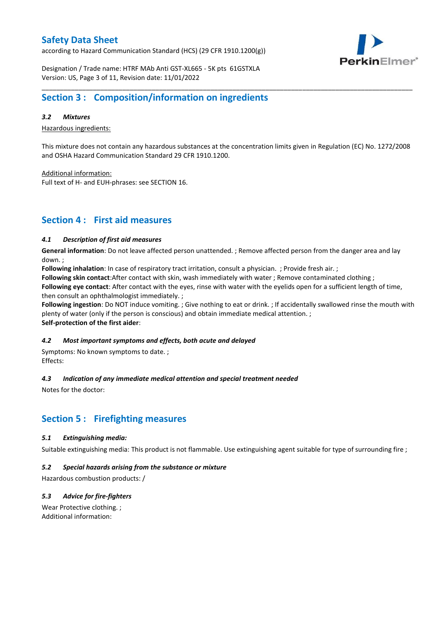according to Hazard Communication Standard (HCS) (29 CFR 1910.1200(g))



Designation / Trade name: HTRF MAb Anti GST-XL665 - 5K pts 61GSTXLA Version: US, Page 3 of 11, Revision date: 11/01/2022

## **Section 3 : Composition/information on ingredients**

#### *3.2 Mixtures*

Hazardous ingredients:

This mixture does not contain any hazardous substances at the concentration limits given in Regulation (EC) No. 1272/2008 and OSHA Hazard Communication Standard 29 CFR 1910.1200.

\_\_\_\_\_\_\_\_\_\_\_\_\_\_\_\_\_\_\_\_\_\_\_\_\_\_\_\_\_\_\_\_\_\_\_\_\_\_\_\_\_\_\_\_\_\_\_\_\_\_\_\_\_\_\_\_\_\_\_\_\_\_\_\_\_\_\_\_\_\_\_\_\_\_\_\_\_\_\_\_\_\_\_\_\_\_\_\_\_\_\_\_\_\_\_\_\_\_\_\_\_

Additional information:

Full text of H- and EUH-phrases: see SECTION 16.

### **Section 4 : First aid measures**

#### *4.1 Description of first aid measures*

**General information**: Do not leave affected person unattended. ; Remove affected person from the danger area and lay down. ;

**Following inhalation**: In case of respiratory tract irritation, consult a physician. ; Provide fresh air. ;

**Following skin contact**:After contact with skin, wash immediately with water ; Remove contaminated clothing ;

**Following eye contact**: After contact with the eyes, rinse with water with the eyelids open for a sufficient length of time, then consult an ophthalmologist immediately. ;

**Following ingestion**: Do NOT induce vomiting. ; Give nothing to eat or drink. ; If accidentally swallowed rinse the mouth with plenty of water (only if the person is conscious) and obtain immediate medical attention. ; **Self-protection of the first aider**:

#### *4.2 Most important symptoms and effects, both acute and delayed*

Symptoms: No known symptoms to date. ; Effects:

### *4.3 Indication of any immediate medical attention and special treatment needed*

Notes for the doctor:

## **Section 5 : Firefighting measures**

#### *5.1 Extinguishing media:*

Suitable extinguishing media: This product is not flammable. Use extinguishing agent suitable for type of surrounding fire ;

#### *5.2 Special hazards arising from the substance or mixture*

Hazardous combustion products: /

### *5.3 Advice for fire-fighters*

Wear Protective clothing. ; Additional information: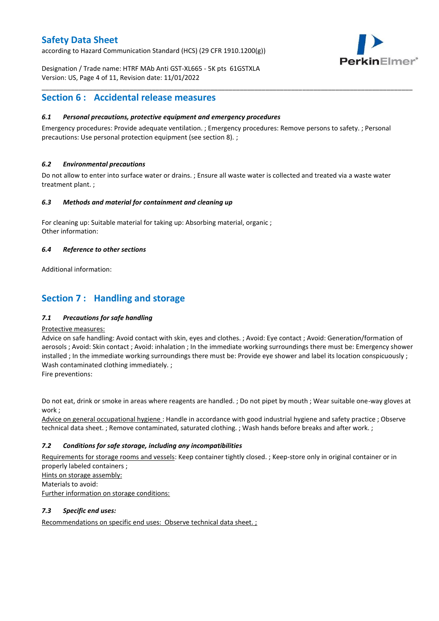according to Hazard Communication Standard (HCS) (29 CFR 1910.1200(g))



Designation / Trade name: HTRF MAb Anti GST-XL665 - 5K pts 61GSTXLA Version: US, Page 4 of 11, Revision date: 11/01/2022

### **Section 6 : Accidental release measures**

#### *6.1 Personal precautions, protective equipment and emergency procedures*

Emergency procedures: Provide adequate ventilation. ; Emergency procedures: Remove persons to safety. ; Personal precautions: Use personal protection equipment (see section 8). ;

\_\_\_\_\_\_\_\_\_\_\_\_\_\_\_\_\_\_\_\_\_\_\_\_\_\_\_\_\_\_\_\_\_\_\_\_\_\_\_\_\_\_\_\_\_\_\_\_\_\_\_\_\_\_\_\_\_\_\_\_\_\_\_\_\_\_\_\_\_\_\_\_\_\_\_\_\_\_\_\_\_\_\_\_\_\_\_\_\_\_\_\_\_\_\_\_\_\_\_\_\_

#### *6.2 Environmental precautions*

Do not allow to enter into surface water or drains. ; Ensure all waste water is collected and treated via a waste water treatment plant. ;

#### *6.3 Methods and material for containment and cleaning up*

For cleaning up: Suitable material for taking up: Absorbing material, organic ; Other information:

#### *6.4 Reference to other sections*

Additional information:

## **Section 7 : Handling and storage**

### *7.1 Precautions for safe handling*

#### Protective measures:

Advice on safe handling: Avoid contact with skin, eyes and clothes. ; Avoid: Eye contact ; Avoid: Generation/formation of aerosols ; Avoid: Skin contact ; Avoid: inhalation ; In the immediate working surroundings there must be: Emergency shower installed ; In the immediate working surroundings there must be: Provide eye shower and label its location conspicuously; Wash contaminated clothing immediately. ;

Fire preventions:

Do not eat, drink or smoke in areas where reagents are handled. ; Do not pipet by mouth ; Wear suitable one-way gloves at work ;

Advice on general occupational hygiene : Handle in accordance with good industrial hygiene and safety practice ; Observe technical data sheet. ; Remove contaminated, saturated clothing. ; Wash hands before breaks and after work. ;

### *7.2 Conditions for safe storage, including any incompatibilities*

Requirements for storage rooms and vessels: Keep container tightly closed. ; Keep-store only in original container or in properly labeled containers ; Hints on storage assembly: Materials to avoid:

Further information on storage conditions:

### *7.3 Specific end uses:*

Recommendations on specific end uses: Observe technical data sheet. ;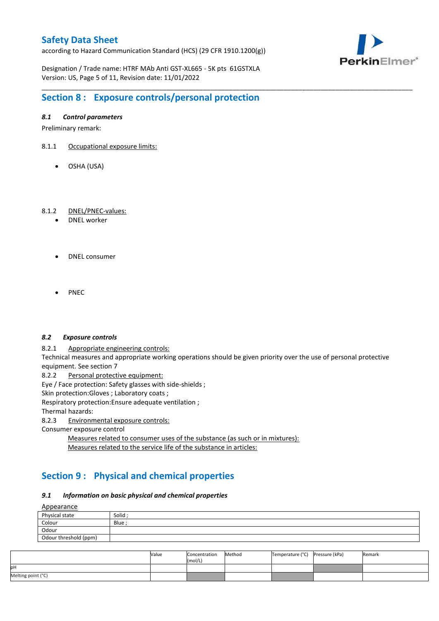according to Hazard Communication Standard (HCS) (29 CFR 1910.1200(g))



Designation / Trade name: HTRF MAb Anti GST-XL665 - 5K pts 61GSTXLA Version: US, Page 5 of 11, Revision date: 11/01/2022

# **Section 8 : Exposure controls/personal protection**

### *8.1 Control parameters*

Preliminary remark:

- 8.1.1 Occupational exposure limits:
	- OSHA (USA)

#### 8.1.2 DNEL/PNEC-values:

- DNEL worker
- DNEL consumer
- PNEC

#### *8.2 Exposure controls*

8.2.1 Appropriate engineering controls:

Technical measures and appropriate working operations should be given priority over the use of personal protective equipment. See section 7

\_\_\_\_\_\_\_\_\_\_\_\_\_\_\_\_\_\_\_\_\_\_\_\_\_\_\_\_\_\_\_\_\_\_\_\_\_\_\_\_\_\_\_\_\_\_\_\_\_\_\_\_\_\_\_\_\_\_\_\_\_\_\_\_\_\_\_\_\_\_\_\_\_\_\_\_\_\_\_\_\_\_\_\_\_\_\_\_\_\_\_\_\_\_\_\_\_\_\_\_\_

8.2.2 Personal protective equipment:

Eye / Face protection: Safety glasses with side-shields ;

Skin protection: Gloves ; Laboratory coats ;

Respiratory protection:Ensure adequate ventilation ;

Thermal hazards:

8.2.3 Environmental exposure controls:

Consumer exposure control

Measures related to consumer uses of the substance (as such or in mixtures): Measures related to the service life of the substance in articles:

## **Section 9 : Physical and chemical properties**

#### *9.1 Information on basic physical and chemical properties*

| Appearance |
|------------|
|------------|

| $\frac{A_{\text{p}}}{A_{\text{p}}}$ |        |
|-------------------------------------|--------|
| Physical state                      | Solid  |
| Colour                              | Blue ; |
| Odour                               |        |
| Odour threshold (ppm)               |        |

|                    | Value | Concentration<br>(mol/L) | Method | Temperature (°C) | Pressure (kPa) | Remark |
|--------------------|-------|--------------------------|--------|------------------|----------------|--------|
| pН                 |       |                          |        |                  |                |        |
| Melting point (°C) |       |                          |        |                  |                |        |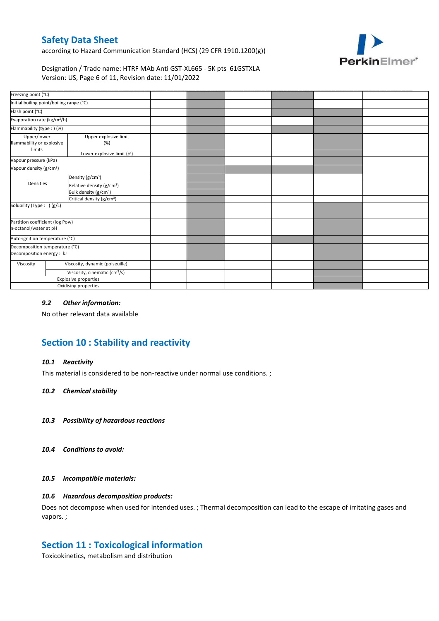according to Hazard Communication Standard (HCS) (29 CFR 1910.1200(g))



### Designation / Trade name: HTRF MAb Anti GST-XL665 - 5K pts 61GSTXLA Version: US, Page 6 of 11, Revision date: 11/01/2022

| Freezing point (°C)<br>Initial boiling point/boiling range (°C)<br>Evaporation rate (kg/m <sup>2</sup> /h)<br>Flammability (type:) (%)<br>Upper/lower<br>Upper explosive limit<br>flammability or explosive<br>(%)<br>limits<br>Lower explosive limit (%)<br>Density (g/cm <sup>3</sup> )<br>Densities<br>Relative density (g/cm <sup>3</sup> )<br>Bulk density (g/cm <sup>3</sup> )<br>Critical density (g/cm <sup>3</sup> )<br>Solubility (Type: ) (g/L)<br>Partition coefficient (log Pow)<br>n-octanol/water at pH :<br>Viscosity, dynamic (poiseuille)<br>Viscosity<br>Viscosity, cinematic (cm <sup>3</sup> /s)<br><b>Explosive properties</b><br>Oxidising properties |                                                             |  |  |  |  |  |  |
|------------------------------------------------------------------------------------------------------------------------------------------------------------------------------------------------------------------------------------------------------------------------------------------------------------------------------------------------------------------------------------------------------------------------------------------------------------------------------------------------------------------------------------------------------------------------------------------------------------------------------------------------------------------------------|-------------------------------------------------------------|--|--|--|--|--|--|
|                                                                                                                                                                                                                                                                                                                                                                                                                                                                                                                                                                                                                                                                              |                                                             |  |  |  |  |  |  |
|                                                                                                                                                                                                                                                                                                                                                                                                                                                                                                                                                                                                                                                                              |                                                             |  |  |  |  |  |  |
|                                                                                                                                                                                                                                                                                                                                                                                                                                                                                                                                                                                                                                                                              | Flash point (°C)                                            |  |  |  |  |  |  |
|                                                                                                                                                                                                                                                                                                                                                                                                                                                                                                                                                                                                                                                                              |                                                             |  |  |  |  |  |  |
|                                                                                                                                                                                                                                                                                                                                                                                                                                                                                                                                                                                                                                                                              |                                                             |  |  |  |  |  |  |
|                                                                                                                                                                                                                                                                                                                                                                                                                                                                                                                                                                                                                                                                              |                                                             |  |  |  |  |  |  |
|                                                                                                                                                                                                                                                                                                                                                                                                                                                                                                                                                                                                                                                                              |                                                             |  |  |  |  |  |  |
|                                                                                                                                                                                                                                                                                                                                                                                                                                                                                                                                                                                                                                                                              | Vapour pressure (kPa)                                       |  |  |  |  |  |  |
|                                                                                                                                                                                                                                                                                                                                                                                                                                                                                                                                                                                                                                                                              | Vapour density (g/cm <sup>3</sup> )                         |  |  |  |  |  |  |
|                                                                                                                                                                                                                                                                                                                                                                                                                                                                                                                                                                                                                                                                              |                                                             |  |  |  |  |  |  |
|                                                                                                                                                                                                                                                                                                                                                                                                                                                                                                                                                                                                                                                                              |                                                             |  |  |  |  |  |  |
|                                                                                                                                                                                                                                                                                                                                                                                                                                                                                                                                                                                                                                                                              |                                                             |  |  |  |  |  |  |
|                                                                                                                                                                                                                                                                                                                                                                                                                                                                                                                                                                                                                                                                              |                                                             |  |  |  |  |  |  |
|                                                                                                                                                                                                                                                                                                                                                                                                                                                                                                                                                                                                                                                                              |                                                             |  |  |  |  |  |  |
|                                                                                                                                                                                                                                                                                                                                                                                                                                                                                                                                                                                                                                                                              |                                                             |  |  |  |  |  |  |
|                                                                                                                                                                                                                                                                                                                                                                                                                                                                                                                                                                                                                                                                              | Auto-ignition temperature (°C)                              |  |  |  |  |  |  |
|                                                                                                                                                                                                                                                                                                                                                                                                                                                                                                                                                                                                                                                                              | Decomposition temperature (°C)<br>Decomposition energy : kJ |  |  |  |  |  |  |
|                                                                                                                                                                                                                                                                                                                                                                                                                                                                                                                                                                                                                                                                              |                                                             |  |  |  |  |  |  |
|                                                                                                                                                                                                                                                                                                                                                                                                                                                                                                                                                                                                                                                                              |                                                             |  |  |  |  |  |  |
|                                                                                                                                                                                                                                                                                                                                                                                                                                                                                                                                                                                                                                                                              |                                                             |  |  |  |  |  |  |
|                                                                                                                                                                                                                                                                                                                                                                                                                                                                                                                                                                                                                                                                              |                                                             |  |  |  |  |  |  |

### *9.2 Other information:*

No other relevant data available

# **Section 10 : Stability and reactivity**

#### *10.1 Reactivity*

This material is considered to be non-reactive under normal use conditions. ;

#### *10.2 Chemical stability*

- *10.3 Possibility of hazardous reactions*
- *10.4 Conditions to avoid:*

#### *10.5 Incompatible materials:*

#### *10.6 Hazardous decomposition products:*

Does not decompose when used for intended uses. ; Thermal decomposition can lead to the escape of irritating gases and vapors. ;

### **Section 11 : Toxicological information**

Toxicokinetics, metabolism and distribution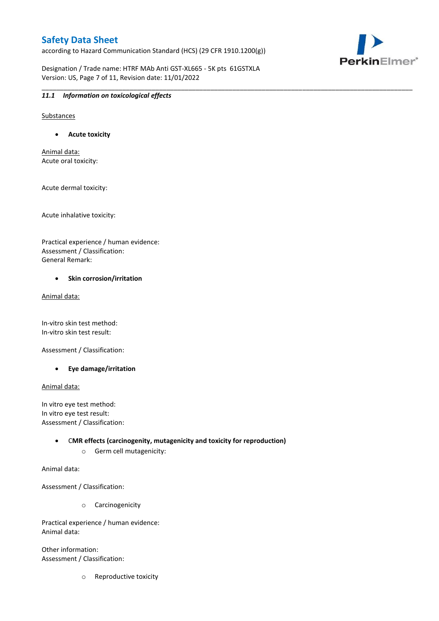according to Hazard Communication Standard (HCS) (29 CFR 1910.1200(g))

Designation / Trade name: HTRF MAb Anti GST-XL665 - 5K pts 61GSTXLA Version: US, Page 7 of 11, Revision date: 11/01/2022

\_\_\_\_\_\_\_\_\_\_\_\_\_\_\_\_\_\_\_\_\_\_\_\_\_\_\_\_\_\_\_\_\_\_\_\_\_\_\_\_\_\_\_\_\_\_\_\_\_\_\_\_\_\_\_\_\_\_\_\_\_\_\_\_\_\_\_\_\_\_\_\_\_\_\_\_\_\_\_\_\_\_\_\_\_\_\_\_\_\_\_\_\_\_\_\_\_\_\_\_\_



#### *11.1 Information on toxicological effects*

Substances

**Acute toxicity**

Animal data: Acute oral toxicity:

Acute dermal toxicity:

Acute inhalative toxicity:

Practical experience / human evidence: Assessment / Classification: General Remark:

#### **•** Skin corrosion/irritation

Animal data:

In-vitro skin test method: In-vitro skin test result:

Assessment / Classification:

**Eye damage/irritation**

Animal data:

In vitro eye test method: In vitro eye test result: Assessment / Classification:

> C**MR effects (carcinogenity, mutagenicity and toxicity for reproduction)** o Germ cell mutagenicity:

Animal data:

Assessment / Classification:

o Carcinogenicity

Practical experience / human evidence: Animal data:

Other information: Assessment / Classification:

o Reproductive toxicity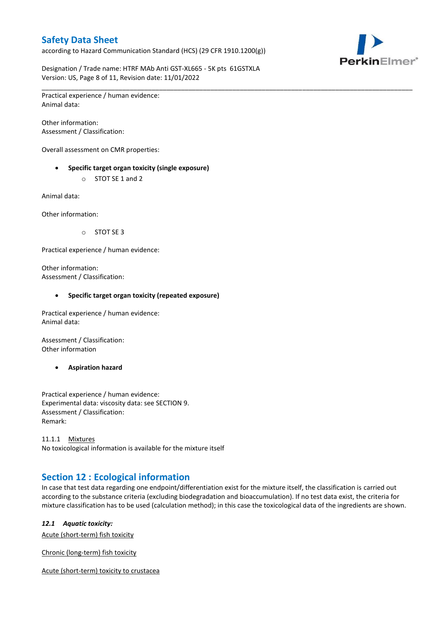according to Hazard Communication Standard (HCS) (29 CFR 1910.1200(g))



Designation / Trade name: HTRF MAb Anti GST-XL665 - 5K pts 61GSTXLA Version: US, Page 8 of 11, Revision date: 11/01/2022

\_\_\_\_\_\_\_\_\_\_\_\_\_\_\_\_\_\_\_\_\_\_\_\_\_\_\_\_\_\_\_\_\_\_\_\_\_\_\_\_\_\_\_\_\_\_\_\_\_\_\_\_\_\_\_\_\_\_\_\_\_\_\_\_\_\_\_\_\_\_\_\_\_\_\_\_\_\_\_\_\_\_\_\_\_\_\_\_\_\_\_\_\_\_\_\_\_\_\_\_\_ Practical experience / human evidence: Animal data:

Other information: Assessment / Classification:

Overall assessment on CMR properties:

- **Specific target organ toxicity (single exposure)**
	- o STOT SE 1 and 2

Animal data:

Other information:

o STOT SE 3

Practical experience / human evidence:

Other information: Assessment / Classification:

#### **Specific target organ toxicity (repeated exposure)**

Practical experience / human evidence: Animal data:

Assessment / Classification: Other information

**Aspiration hazard**

Practical experience / human evidence: Experimental data: viscosity data: see SECTION 9. Assessment / Classification: Remark:

11.1.1 Mixtures No toxicological information is available for the mixture itself

## **Section 12 : Ecological information**

In case that test data regarding one endpoint/differentiation exist for the mixture itself, the classification is carried out according to the substance criteria (excluding biodegradation and bioaccumulation). If no test data exist, the criteria for mixture classification has to be used (calculation method); in this case the toxicological data of the ingredients are shown.

#### *12.1 Aquatic toxicity:*

Acute (short-term) fish toxicity

Chronic (long-term) fish toxicity

Acute (short-term) toxicity to crustacea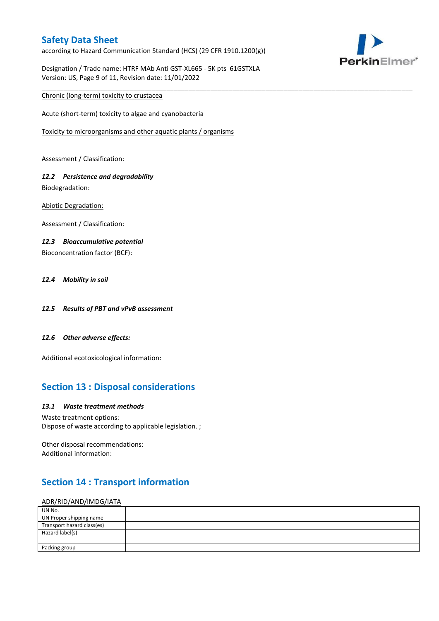according to Hazard Communication Standard (HCS) (29 CFR 1910.1200(g))



Designation / Trade name: HTRF MAb Anti GST-XL665 - 5K pts 61GSTXLA Version: US, Page 9 of 11, Revision date: 11/01/2022

\_\_\_\_\_\_\_\_\_\_\_\_\_\_\_\_\_\_\_\_\_\_\_\_\_\_\_\_\_\_\_\_\_\_\_\_\_\_\_\_\_\_\_\_\_\_\_\_\_\_\_\_\_\_\_\_\_\_\_\_\_\_\_\_\_\_\_\_\_\_\_\_\_\_\_\_\_\_\_\_\_\_\_\_\_\_\_\_\_\_\_\_\_\_\_\_\_\_\_\_\_

### Chronic (long-term) toxicity to crustacea

Acute (short-term) toxicity to algae and cyanobacteria

Toxicity to microorganisms and other aquatic plants / organisms

Assessment / Classification:

### *12.2 Persistence and degradability* Biodegradation:

Abiotic Degradation:

Assessment / Classification:

#### *12.3 Bioaccumulative potential*

Bioconcentration factor (BCF):

#### *12.4 Mobility in soil*

- *12.5 Results of PBT and vPvB assessment*
- *12.6 Other adverse effects:*

Additional ecotoxicological information:

## **Section 13 : Disposal considerations**

#### *13.1 Waste treatment methods*

Waste treatment options: Dispose of waste according to applicable legislation. ;

Other disposal recommendations: Additional information:

## **Section 14 : Transport information**

#### ADR/RID/AND/IMDG/IATA

| UN No.                     |  |
|----------------------------|--|
| UN Proper shipping name    |  |
| Transport hazard class(es) |  |
| Hazard label(s)            |  |
|                            |  |
| Packing group              |  |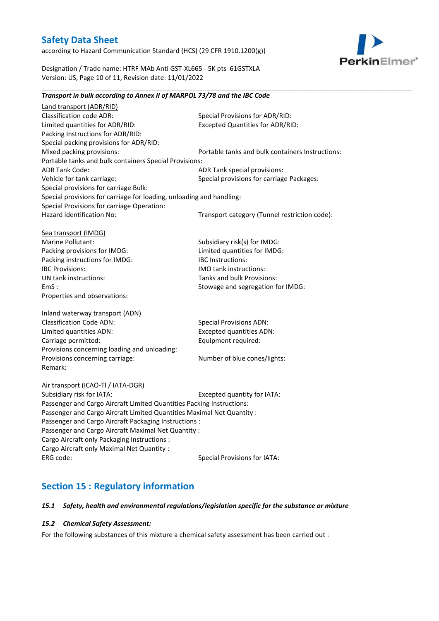according to Hazard Communication Standard (HCS) (29 CFR 1910.1200(g))



Designation / Trade name: HTRF MAb Anti GST-XL665 - 5K pts 61GSTXLA Version: US, Page 10 of 11, Revision date: 11/01/2022

*Transport in bulk according to Annex II of MARPOL 73/78 and the IBC Code*

\_\_\_\_\_\_\_\_\_\_\_\_\_\_\_\_\_\_\_\_\_\_\_\_\_\_\_\_\_\_\_\_\_\_\_\_\_\_\_\_\_\_\_\_\_\_\_\_\_\_\_\_\_\_\_\_\_\_\_\_\_\_\_\_\_\_\_\_\_\_\_\_\_\_\_\_\_\_\_\_\_\_\_\_\_\_\_\_\_\_\_\_\_\_\_\_\_\_\_\_\_

### Land transport (ADR/RID) Classification code ADR: Special Provisions for ADR/RID:<br>
Limited quantities for ADR/RID: Excepted Quantities for ADR/RI Excepted Quantities for ADR/RID: Packing Instructions for ADR/RID: Special packing provisions for ADR/RID: Mixed packing provisions: Portable tanks and bulk containers Instructions: Portable tanks and bulk containers Special Provisions: ADR Tank Code: ADR Tank special provisions: Vehicle for tank carriage:  $S$  Special provisions for carriage Packages: Special provisions for carriage Bulk: Special provisions for carriage for loading, unloading and handling: Special Provisions for carriage Operation: Hazard identification No: Transport category (Tunnel restriction code): Sea transport (IMDG) Marine Pollutant: Subsidiary risk(s) for IMDG: Packing provisions for IMDG: Limited quantities for IMDG: Packing instructions for IMDG: IBC Instructions: IBC Provisions: IMO tank instructions: UN tank instructions: Tanks and bulk Provisions: EmS : Stowage and segregation for IMDG: Properties and observations: Inland waterway transport (ADN) Classification Code ADN: Special Provisions ADN: Limited quantities ADN: Excepted quantities ADN: Carriage permitted: Carriage permitted: Provisions concerning loading and unloading: Provisions concerning carriage: Number of blue cones/lights: Remark: Air transport (ICAO-TI / IATA-DGR) Subsidiary risk for IATA: Excepted quantity for IATA: Passenger and Cargo Aircraft Limited Quantities Packing Instructions: Passenger and Cargo Aircraft Limited Quantities Maximal Net Quantity : Passenger and Cargo Aircraft Packaging Instructions : Passenger and Cargo Aircraft Maximal Net Quantity : Cargo Aircraft only Packaging Instructions : Cargo Aircraft only Maximal Net Quantity : ERG code: Special Provisions for IATA: **Section 15 : Regulatory information** *15.1 Safety, health and environmental regulations/legislation specific for the substance or mixture*

#### *15.2 Chemical Safety Assessment:*

For the following substances of this mixture a chemical safety assessment has been carried out :